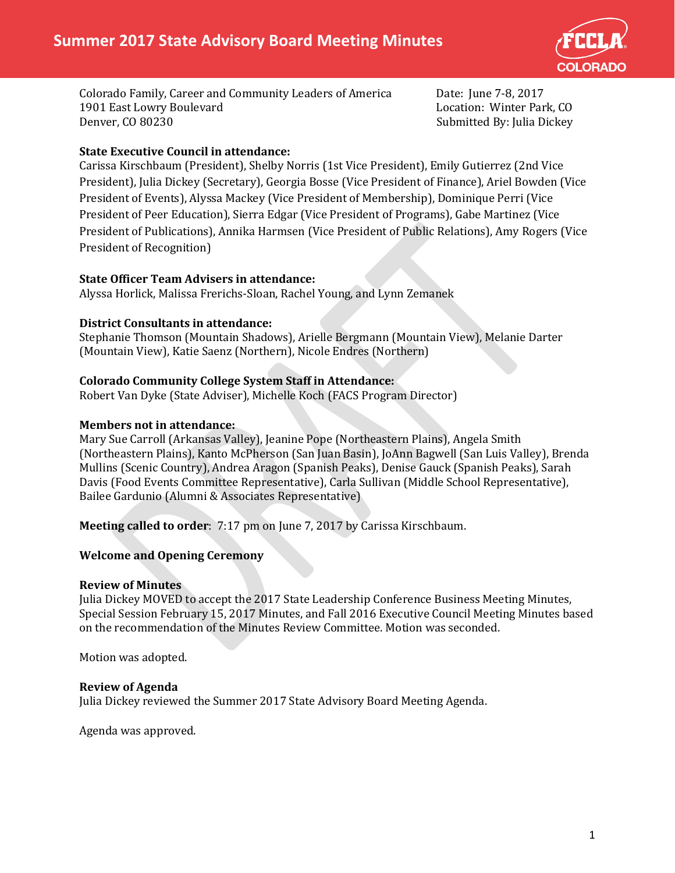

Colorado Family, Career and Community Leaders of America Date: June 7-8, 2017 1901 East Lowry Boulevard<br>Denver, CO 80230

Submitted By: Julia Dickey

# **State Executive Council in attendance:**

Carissa Kirschbaum (President), Shelby Norris (1st Vice President), Emily Gutierrez (2nd Vice President), Julia Dickey (Secretary), Georgia Bosse (Vice President of Finance), Ariel Bowden (Vice President of Events), Alyssa Mackey (Vice President of Membership), Dominique Perri (Vice President of Peer Education), Sierra Edgar (Vice President of Programs), Gabe Martinez (Vice President of Publications), Annika Harmsen (Vice President of Public Relations), Amy Rogers (Vice President of Recognition)

# **State Officer Team Advisers in attendance:**

Alyssa Horlick, Malissa Frerichs-Sloan, Rachel Young, and Lynn Zemanek

# **District Consultants in attendance:**

Stephanie Thomson (Mountain Shadows), Arielle Bergmann (Mountain View), Melanie Darter (Mountain View), Katie Saenz (Northern), Nicole Endres (Northern)

# **Colorado Community College System Staff in Attendance:**

Robert Van Dyke (State Adviser), Michelle Koch (FACS Program Director)

# **Members not in attendance:**

Mary Sue Carroll (Arkansas Valley), Jeanine Pope (Northeastern Plains), Angela Smith (Northeastern Plains), Kanto McPherson (San Juan Basin), JoAnn Bagwell (San Luis Valley), Brenda Mullins (Scenic Country), Andrea Aragon (Spanish Peaks), Denise Gauck (Spanish Peaks), Sarah Davis (Food Events Committee Representative), Carla Sullivan (Middle School Representative), Bailee Gardunio (Alumni & Associates Representative)

**Meeting called to order**: 7:17 pm on June 7, 2017 by Carissa Kirschbaum.

# **Welcome and Opening Ceremony**

#### **Review of Minutes**

Julia Dickey MOVED to accept the 2017 State Leadership Conference Business Meeting Minutes, Special Session February 15, 2017 Minutes, and Fall 2016 Executive Council Meeting Minutes based on the recommendation of the Minutes Review Committee. Motion was seconded.

Motion was adopted.

#### **Review of Agenda**

Julia Dickey reviewed the Summer 2017 State Advisory Board Meeting Agenda.

Agenda was approved.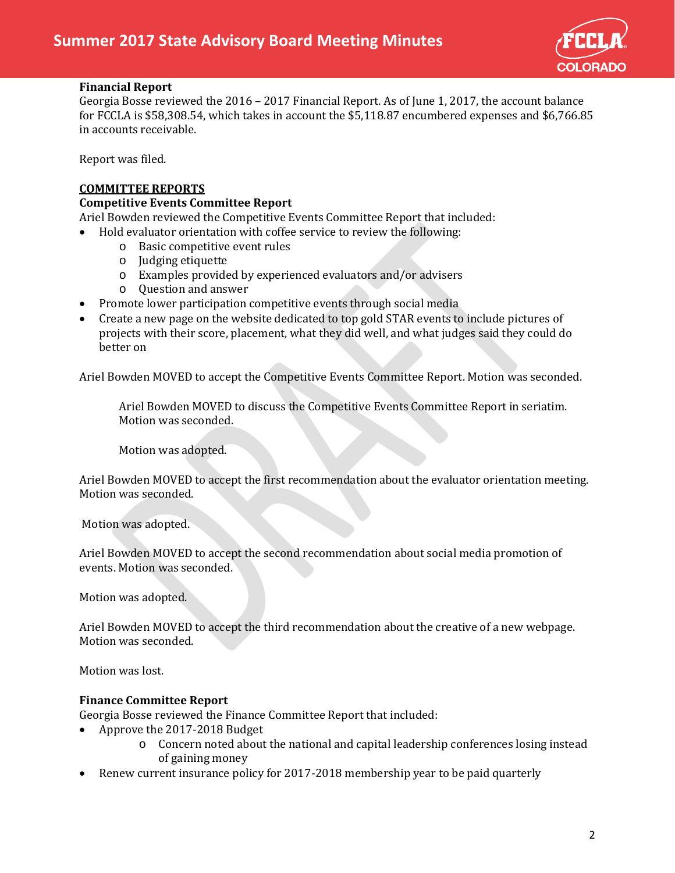

# **Financial Report**

Georgia Bosse reviewed the 2016 – 2017 Financial Report. As of June 1, 2017, the account balance for FCCLA is \$58,308.54, which takes in account the \$5,118.87 encumbered expenses and \$6,766.85 in accounts receivable.

Report was filed.

# **COMMITTEE REPORTS**

# **Competitive Events Committee Report**

Ariel Bowden reviewed the Competitive Events Committee Report that included:

- Hold evaluator orientation with coffee service to review the following:
	- o Basic competitive event rules
	- o Judging etiquette
	- o Examples provided by experienced evaluators and/or advisers
	- o Question and answer
- Promote lower participation competitive events through social media
- Create a new page on the website dedicated to top gold STAR events to include pictures of projects with their score, placement, what they did well, and what judges said they could do better on

Ariel Bowden MOVED to accept the Competitive Events Committee Report. Motion was seconded.

Ariel Bowden MOVED to discuss the Competitive Events Committee Report in seriatim. Motion was seconded.

Motion was adopted.

Ariel Bowden MOVED to accept the first recommendation about the evaluator orientation meeting. Motion was seconded.

Motion was adopted.

Ariel Bowden MOVED to accept the second recommendation about social media promotion of events. Motion was seconded.

Motion was adopted.

Ariel Bowden MOVED to accept the third recommendation about the creative of a new webpage. Motion was seconded.

Motion was lost.

#### **Finance Committee Report**

Georgia Bosse reviewed the Finance Committee Report that included:

- Approve the 2017-2018 Budget
	- o Concern noted about the national and capital leadership conferences losing instead of gaining money
- Renew current insurance policy for 2017-2018 membership year to be paid quarterly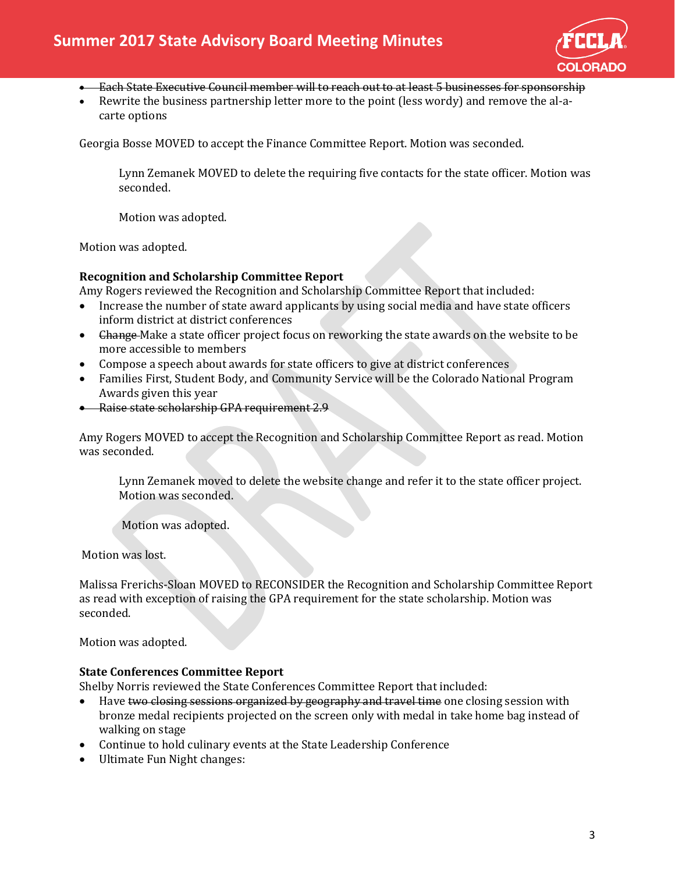

- Each State Executive Council member will to reach out to at least 5 businesses for sponsorship
- Rewrite the business partnership letter more to the point (less wordy) and remove the al-acarte options

Georgia Bosse MOVED to accept the Finance Committee Report. Motion was seconded.

Lynn Zemanek MOVED to delete the requiring five contacts for the state officer. Motion was seconded.

Motion was adopted.

Motion was adopted.

#### **Recognition and Scholarship Committee Report**

Amy Rogers reviewed the Recognition and Scholarship Committee Report that included:

- Increase the number of state award applicants by using social media and have state officers inform district at district conferences
- <del>Change</del> Make a state officer project focus on reworking the state awards on the website to be more accessible to members
- Compose a speech about awards for state officers to give at district conferences
- Families First, Student Body, and Community Service will be the Colorado National Program Awards given this year
- Raise state scholarship GPA requirement 2.9

Amy Rogers MOVED to accept the Recognition and Scholarship Committee Report as read. Motion was seconded.

Lynn Zemanek moved to delete the website change and refer it to the state officer project. Motion was seconded.

Motion was adopted.

Motion was lost.

Malissa Frerichs-Sloan MOVED to RECONSIDER the Recognition and Scholarship Committee Report as read with exception of raising the GPA requirement for the state scholarship. Motion was seconded.

Motion was adopted.

#### **State Conferences Committee Report**

Shelby Norris reviewed the State Conferences Committee Report that included:

- Have two closing sessions organized by geography and travel time one closing session with bronze medal recipients projected on the screen only with medal in take home bag instead of walking on stage
- Continue to hold culinary events at the State Leadership Conference
- Ultimate Fun Night changes: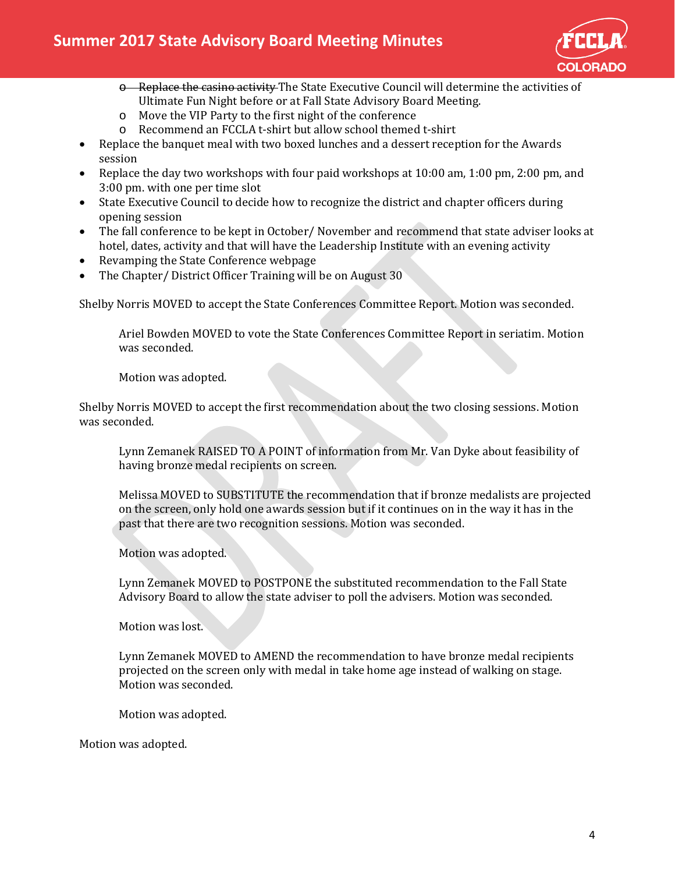

- $\theta$  Replace the casino activity The State Executive Council will determine the activities of Ultimate Fun Night before or at Fall State Advisory Board Meeting.
- o Move the VIP Party to the first night of the conference
- o Recommend an FCCLA t-shirt but allow school themed t-shirt
- Replace the banquet meal with two boxed lunches and a dessert reception for the Awards session
- Replace the day two workshops with four paid workshops at 10:00 am, 1:00 pm, 2:00 pm, and 3:00 pm. with one per time slot
- State Executive Council to decide how to recognize the district and chapter officers during opening session
- The fall conference to be kept in October/ November and recommend that state adviser looks at hotel, dates, activity and that will have the Leadership Institute with an evening activity
- Revamping the State Conference webpage
- The Chapter/District Officer Training will be on August 30

Shelby Norris MOVED to accept the State Conferences Committee Report. Motion was seconded.

Ariel Bowden MOVED to vote the State Conferences Committee Report in seriatim. Motion was seconded.

Motion was adopted.

Shelby Norris MOVED to accept the first recommendation about the two closing sessions. Motion was seconded.

Lynn Zemanek RAISED TO A POINT of information from Mr. Van Dyke about feasibility of having bronze medal recipients on screen.

Melissa MOVED to SUBSTITUTE the recommendation that if bronze medalists are projected on the screen, only hold one awards session but if it continues on in the way it has in the past that there are two recognition sessions. Motion was seconded.

Motion was adopted.

Lynn Zemanek MOVED to POSTPONE the substituted recommendation to the Fall State Advisory Board to allow the state adviser to poll the advisers. Motion was seconded.

Motion was lost.

Lynn Zemanek MOVED to AMEND the recommendation to have bronze medal recipients projected on the screen only with medal in take home age instead of walking on stage. Motion was seconded.

Motion was adopted.

Motion was adopted.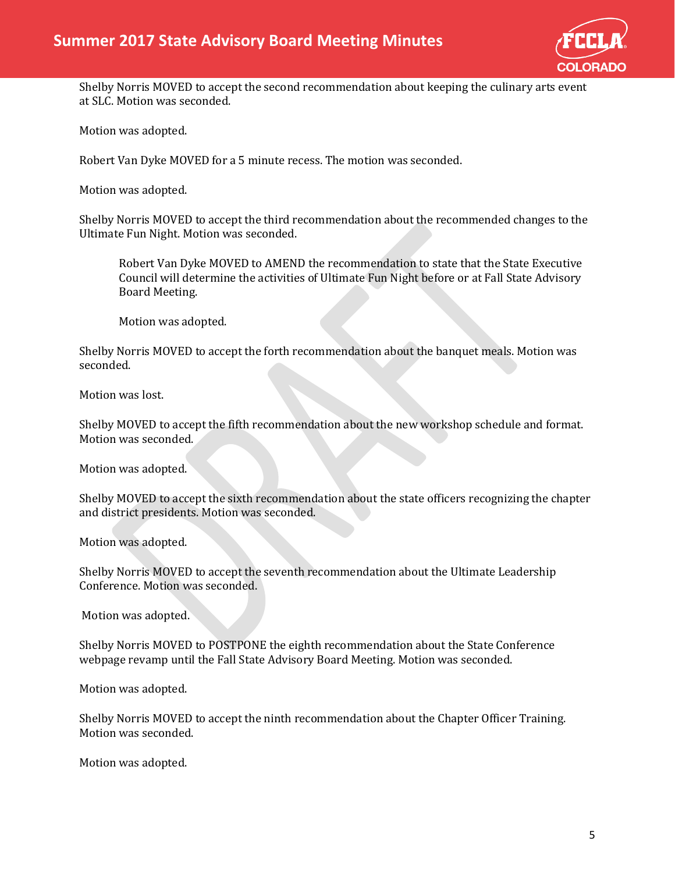

Shelby Norris MOVED to accept the second recommendation about keeping the culinary arts event at SLC. Motion was seconded.

Motion was adopted.

Robert Van Dyke MOVED for a 5 minute recess. The motion was seconded.

Motion was adopted.

Shelby Norris MOVED to accept the third recommendation about the recommended changes to the Ultimate Fun Night. Motion was seconded.

Robert Van Dyke MOVED to AMEND the recommendation to state that the State Executive Council will determine the activities of Ultimate Fun Night before or at Fall State Advisory Board Meeting.

Motion was adopted.

Shelby Norris MOVED to accept the forth recommendation about the banquet meals. Motion was seconded.

Motion was lost.

Shelby MOVED to accept the fifth recommendation about the new workshop schedule and format. Motion was seconded.

Motion was adopted.

Shelby MOVED to accept the sixth recommendation about the state officers recognizing the chapter and district presidents. Motion was seconded.

Motion was adopted.

Shelby Norris MOVED to accept the seventh recommendation about the Ultimate Leadership Conference. Motion was seconded.

Motion was adopted.

Shelby Norris MOVED to POSTPONE the eighth recommendation about the State Conference webpage revamp until the Fall State Advisory Board Meeting. Motion was seconded.

Motion was adopted.

Shelby Norris MOVED to accept the ninth recommendation about the Chapter Officer Training. Motion was seconded.

Motion was adopted.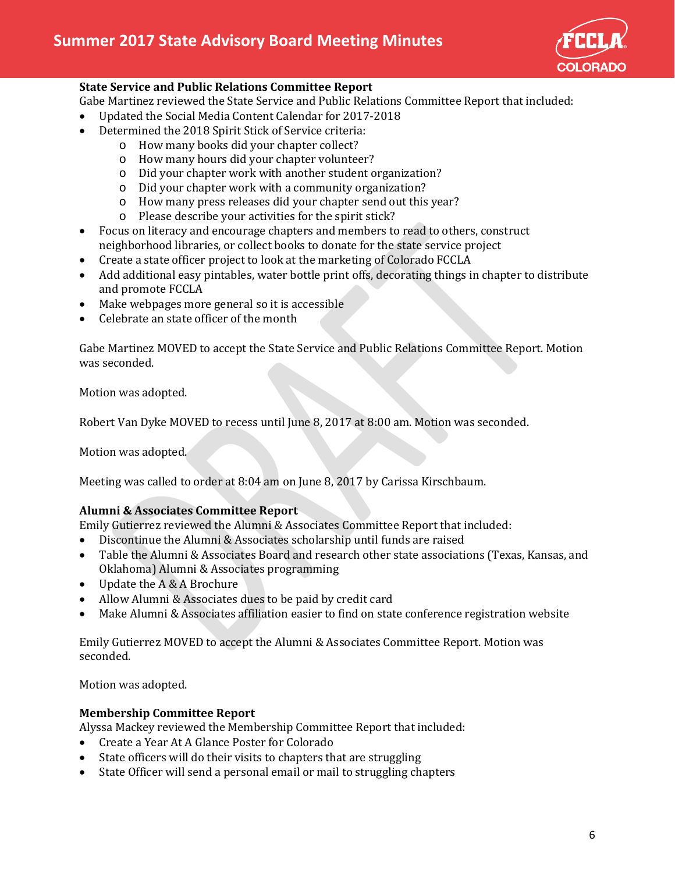

# **State Service and Public Relations Committee Report**

Gabe Martinez reviewed the State Service and Public Relations Committee Report that included:

- Updated the Social Media Content Calendar for 2017-2018
- Determined the 2018 Spirit Stick of Service criteria:
	- o How many books did your chapter collect?
	- o How many hours did your chapter volunteer?
	- o Did your chapter work with another student organization?
	- o Did your chapter work with a community organization?
	- o How many press releases did your chapter send out this year?
	- o Please describe your activities for the spirit stick?
- Focus on literacy and encourage chapters and members to read to others, construct neighborhood libraries, or collect books to donate for the state service project
- Create a state officer project to look at the marketing of Colorado FCCLA
- Add additional easy pintables, water bottle print offs, decorating things in chapter to distribute and promote FCCLA
- Make webpages more general so it is accessible
- Celebrate an state officer of the month

Gabe Martinez MOVED to accept the State Service and Public Relations Committee Report. Motion was seconded.

Motion was adopted.

Robert Van Dyke MOVED to recess until June 8, 2017 at 8:00 am. Motion was seconded.

Motion was adopted.

Meeting was called to order at 8:04 am on June 8, 2017 by Carissa Kirschbaum.

# **Alumni & Associates Committee Report**

Emily Gutierrez reviewed the Alumni & Associates Committee Report that included:

- Discontinue the Alumni & Associates scholarship until funds are raised
- Table the Alumni & Associates Board and research other state associations (Texas, Kansas, and Oklahoma) Alumni & Associates programming
- Update the A & A Brochure
- Allow Alumni & Associates dues to be paid by credit card
- Make Alumni & Associates affiliation easier to find on state conference registration website

Emily Gutierrez MOVED to accept the Alumni & Associates Committee Report. Motion was seconded.

Motion was adopted.

#### **Membership Committee Report**

Alyssa Mackey reviewed the Membership Committee Report that included:

- Create a Year At A Glance Poster for Colorado
- State officers will do their visits to chapters that are struggling
- State Officer will send a personal email or mail to struggling chapters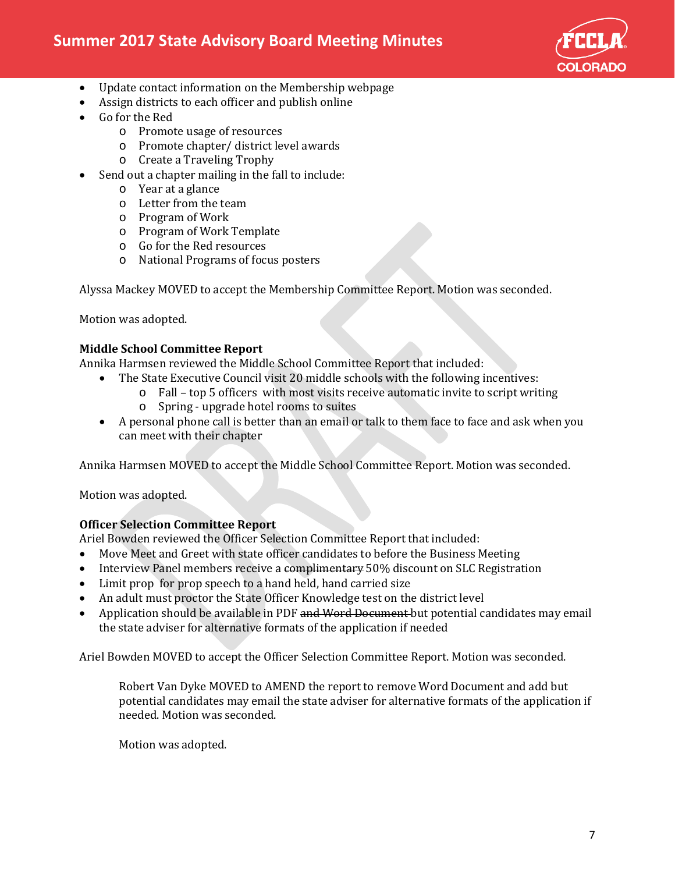

- Update contact information on the Membership webpage
- Assign districts to each officer and publish online
- Go for the Red
	- o Promote usage of resources
	- o Promote chapter/ district level awards
	- o Create a Traveling Trophy
- Send out a chapter mailing in the fall to include:
	- o Year at a glance
	- o Letter from the team
	- o Program of Work
	- o Program of Work Template
	- o Go for the Red resources
	- o National Programs of focus posters

Alyssa Mackey MOVED to accept the Membership Committee Report. Motion was seconded.

Motion was adopted.

# **Middle School Committee Report**

Annika Harmsen reviewed the Middle School Committee Report that included:

- The State Executive Council visit 20 middle schools with the following incentives:
	- $\circ$  Fall top 5 officers with most visits receive automatic invite to script writing
		- o Spring upgrade hotel rooms to suites
- A personal phone call is better than an email or talk to them face to face and ask when you can meet with their chapter

Annika Harmsen MOVED to accept the Middle School Committee Report. Motion was seconded.

Motion was adopted.

#### **Officer Selection Committee Report**

Ariel Bowden reviewed the Officer Selection Committee Report that included:

- Move Meet and Greet with state officer candidates to before the Business Meeting
- Interview Panel members receive a complimentary 50% discount on SLC Registration
- Limit prop for prop speech to a hand held, hand carried size
- An adult must proctor the State Officer Knowledge test on the district level
- Application should be available in PDF and Word Document but potential candidates may email the state adviser for alternative formats of the application if needed

Ariel Bowden MOVED to accept the Officer Selection Committee Report. Motion was seconded.

Robert Van Dyke MOVED to AMEND the report to remove Word Document and add but potential candidates may email the state adviser for alternative formats of the application if needed. Motion was seconded.

Motion was adopted.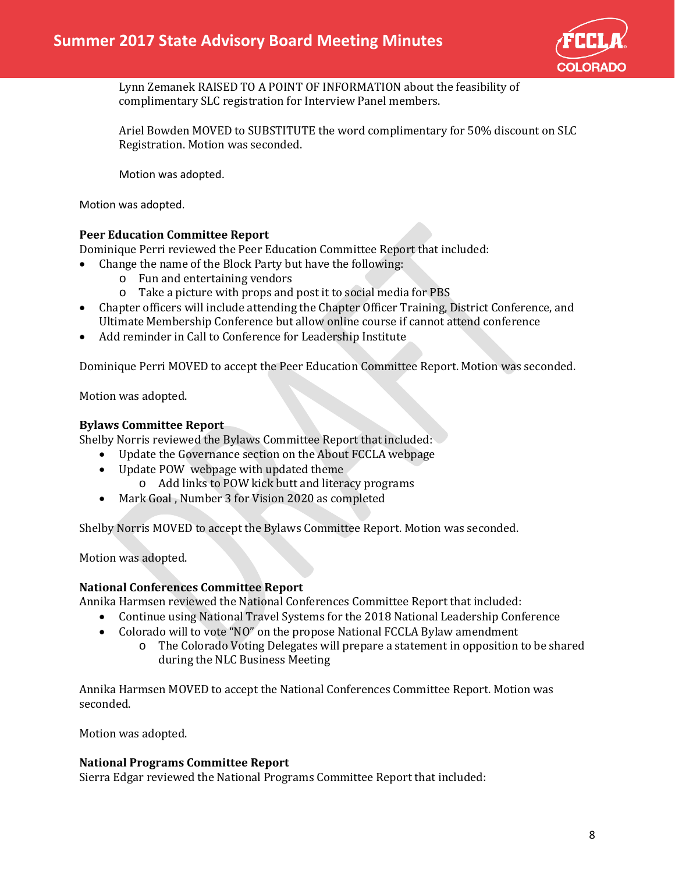

Lynn Zemanek RAISED TO A POINT OF INFORMATION about the feasibility of complimentary SLC registration for Interview Panel members.

Ariel Bowden MOVED to SUBSTITUTE the word complimentary for 50% discount on SLC Registration. Motion was seconded.

Motion was adopted.

Motion was adopted.

# **Peer Education Committee Report**

Dominique Perri reviewed the Peer Education Committee Report that included:

- Change the name of the Block Party but have the following:
	- o Fun and entertaining vendors
	- o Take a picture with props and post it to social media for PBS
- Chapter officers will include attending the Chapter Officer Training, District Conference, and Ultimate Membership Conference but allow online course if cannot attend conference
- Add reminder in Call to Conference for Leadership Institute

Dominique Perri MOVED to accept the Peer Education Committee Report. Motion was seconded.

Motion was adopted.

#### **Bylaws Committee Report**

Shelby Norris reviewed the Bylaws Committee Report that included:

- Update the Governance section on the About FCCLA webpage
- Update POW webpage with updated theme
	- o Add links to POW kick butt and literacy programs
- Mark Goal , Number 3 for Vision 2020 as completed

Shelby Norris MOVED to accept the Bylaws Committee Report. Motion was seconded.

Motion was adopted.

#### **National Conferences Committee Report**

Annika Harmsen reviewed the National Conferences Committee Report that included:

- Continue using National Travel Systems for the 2018 National Leadership Conference
- Colorado will to vote "NO" on the propose National FCCLA Bylaw amendment
	- o The Colorado Voting Delegates will prepare a statement in opposition to be shared during the NLC Business Meeting

Annika Harmsen MOVED to accept the National Conferences Committee Report. Motion was seconded.

Motion was adopted.

#### **National Programs Committee Report**

Sierra Edgar reviewed the National Programs Committee Report that included: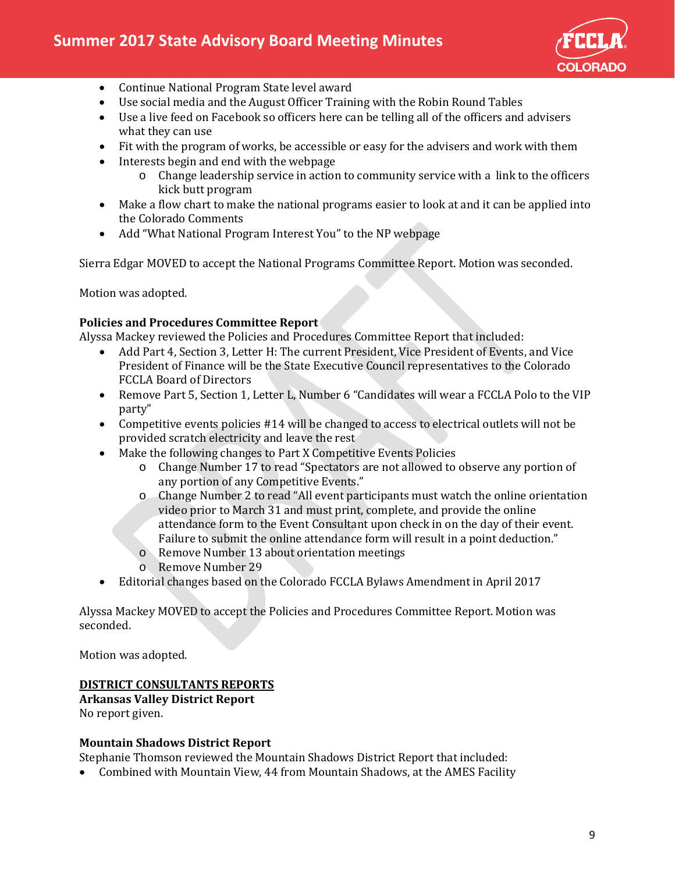

- Continue National Program State level award
- Use social media and the August Officer Training with the Robin Round Tables
- Use a live feed on Facebook so officers here can be telling all of the officers and advisers what they can use
- Fit with the program of works, be accessible or easy for the advisers and work with them
- Interests begin and end with the webpage
	- o Change leadership service in action to community service with a link to the officers kick butt program
- Make a flow chart to make the national programs easier to look at and it can be applied into the Colorado Comments
- Add "What National Program Interest You" to the NP webpage

Sierra Edgar MOVED to accept the National Programs Committee Report. Motion was seconded.

Motion was adopted.

#### **Policies and Procedures Committee Report**

Alyssa Mackey reviewed the Policies and Procedures Committee Report that included:

- Add Part 4, Section 3, Letter H: The current President, Vice President of Events, and Vice President of Finance will be the State Executive Council representatives to the Colorado FCCLA Board of Directors
- Remove Part 5, Section 1, Letter L, Number 6 "Candidates will wear a FCCLA Polo to the VIP party"
- Competitive events policies #14 will be changed to access to electrical outlets will not be provided scratch electricity and leave the rest
- Make the following changes to Part X Competitive Events Policies
	- o Change Number 17 to read "Spectators are not allowed to observe any portion of any portion of any Competitive Events."
	- o Change Number 2 to read "All event participants must watch the online orientation video prior to March 31 and must print, complete, and provide the online attendance form to the Event Consultant upon check in on the day of their event. Failure to submit the online attendance form will result in a point deduction."
	- o Remove Number 13 about orientation meetings
	- o Remove Number 29
- Editorial changes based on the Colorado FCCLA Bylaws Amendment in April 2017

Alyssa Mackey MOVED to accept the Policies and Procedures Committee Report. Motion was seconded.

Motion was adopted.

# **DISTRICT CONSULTANTS REPORTS**

**Arkansas Valley District Report**

No report given.

#### **Mountain Shadows District Report**

Stephanie Thomson reviewed the Mountain Shadows District Report that included:

• Combined with Mountain View, 44 from Mountain Shadows, at the AMES Facility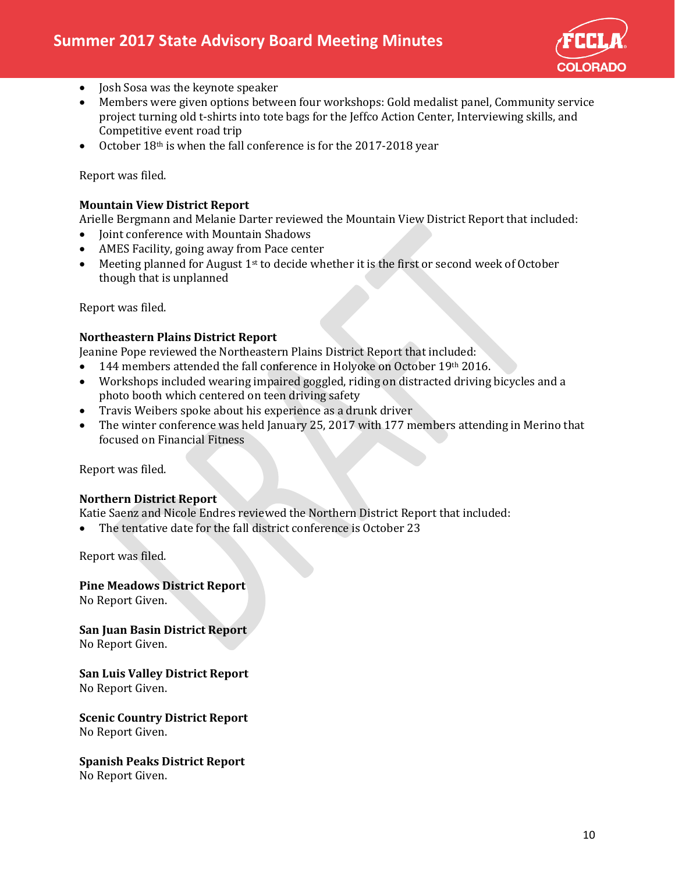

- Josh Sosa was the keynote speaker
- Members were given options between four workshops: Gold medalist panel, Community service project turning old t-shirts into tote bags for the Jeffco Action Center, Interviewing skills, and Competitive event road trip
- October 18<sup>th</sup> is when the fall conference is for the 2017-2018 year

Report was filed.

# **Mountain View District Report**

Arielle Bergmann and Melanie Darter reviewed the Mountain View District Report that included:

- Joint conference with Mountain Shadows
- AMES Facility, going away from Pace center
- Meeting planned for August  $1<sup>st</sup>$  to decide whether it is the first or second week of October though that is unplanned

Report was filed.

# **Northeastern Plains District Report**

Jeanine Pope reviewed the Northeastern Plains District Report that included:

- 144 members attended the fall conference in Holyoke on October 19th 2016.
- Workshops included wearing impaired goggled, riding on distracted driving bicycles and a photo booth which centered on teen driving safety
- Travis Weibers spoke about his experience as a drunk driver
- The winter conference was held January 25, 2017 with 177 members attending in Merino that focused on Financial Fitness

Report was filed.

#### **Northern District Report**

Katie Saenz and Nicole Endres reviewed the Northern District Report that included:

• The tentative date for the fall district conference is October 23

Report was filed.

**Pine Meadows District Report** No Report Given.

**San Juan Basin District Report** No Report Given.

**San Luis Valley District Report** No Report Given.

**Scenic Country District Report** No Report Given.

**Spanish Peaks District Report** No Report Given.